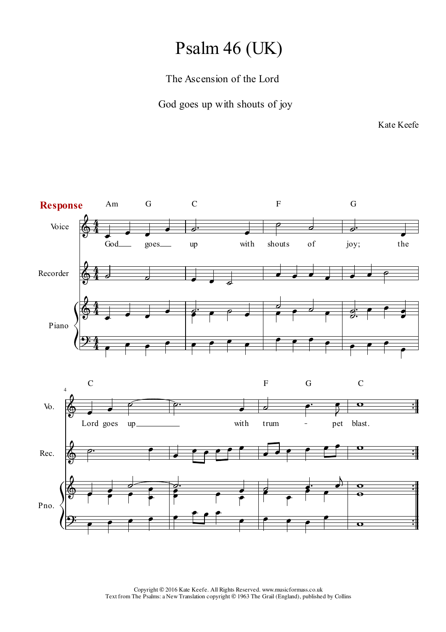## Psalm 46 (UK)

## The Ascension of the Lord

God goes up with shouts of joy

Kate Keefe

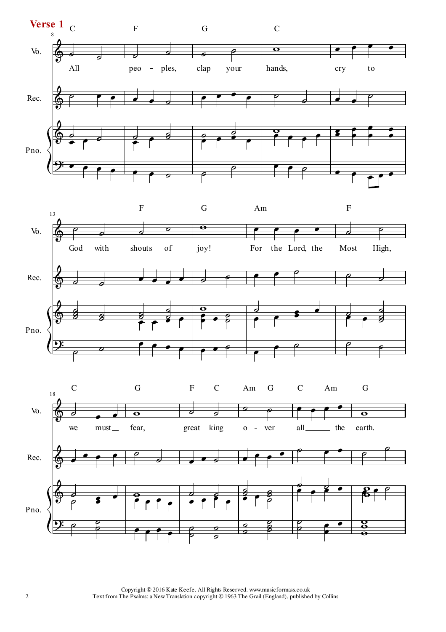



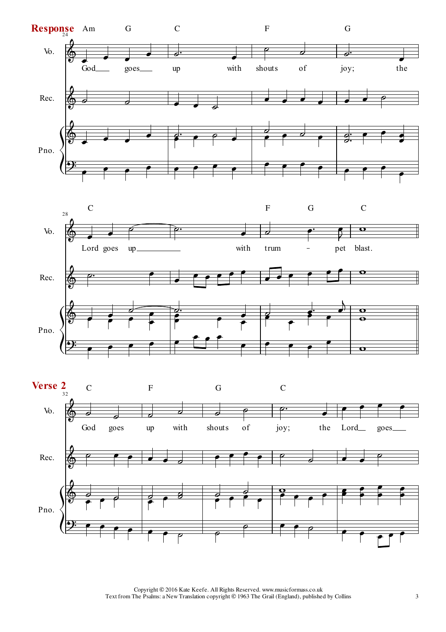



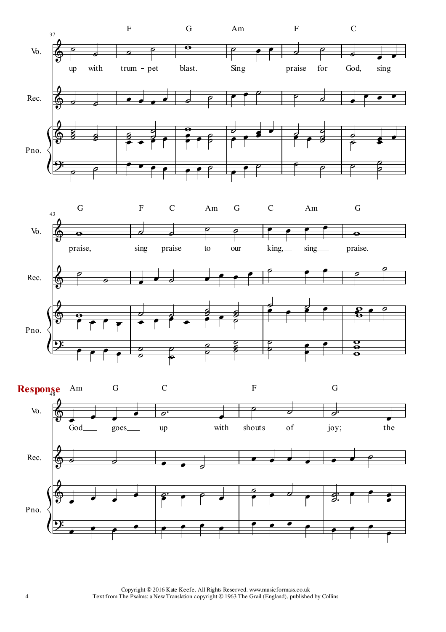

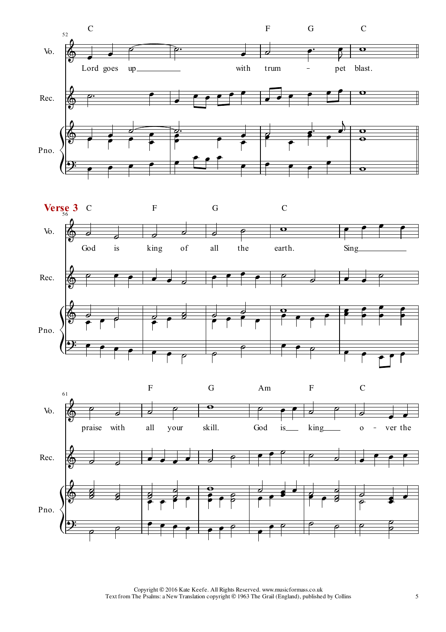